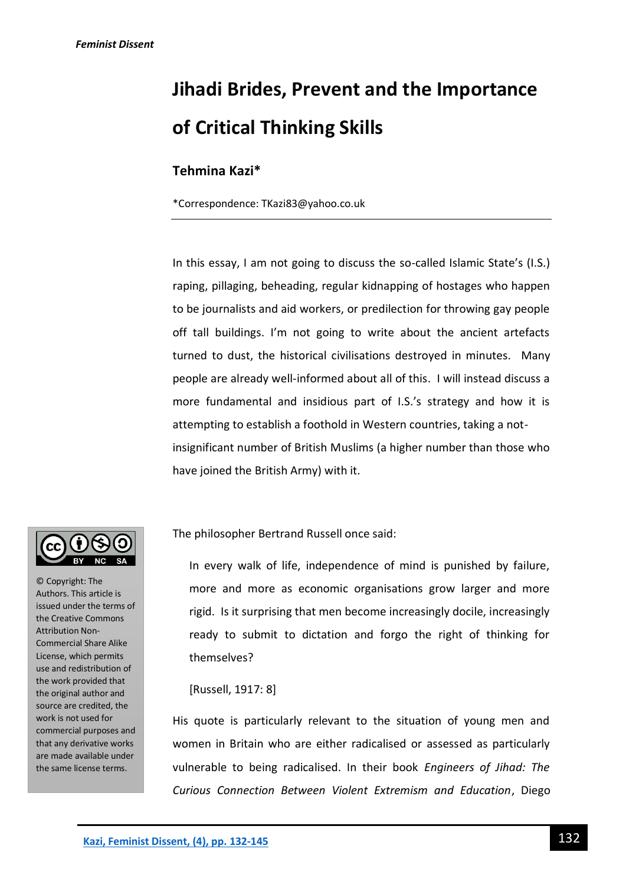# **Jihadi Brides, Prevent and the Importance of Critical Thinking Skills**

## **Tehmina Kazi\***

\*Correspondence: TKazi83@yahoo.co.uk

In this essay, I am not going to discuss the so-called Islamic State's (I.S.) raping, pillaging, beheading, regular kidnapping of hostages who happen to be journalists and aid workers, or predilection for throwing gay people off tall buildings. I'm not going to write about the ancient artefacts turned to dust, the historical civilisations destroyed in minutes. Many people are already well-informed about all of this. I will instead discuss a more fundamental and insidious part of I.S.'s strategy and how it is attempting to establish a foothold in Western countries, taking a notinsignificant number of British Muslims (a higher number than those who have joined the British Army) with it.

© Copyright: The Authors. This article is issued under the terms of the Creative Commons Attribution Non-Commercial Share Alike License, which permits use and redistribution of the work provided that the original author and source are credited, the work is not used for commercial purposes and that any derivative works are made available under the same license terms.

The philosopher Bertrand Russell once said:

In every walk of life, independence of mind is punished by failure, more and more as economic organisations grow larger and more rigid. Is it surprising that men become increasingly docile, increasingly ready to submit to dictation and forgo the right of thinking for themselves?

## [Russell, 1917: 8]

His quote is particularly relevant to the situation of young men and women in Britain who are either radicalised or assessed as particularly vulnerable to being radicalised. In their book *Engineers of Jihad: The Curious Connection Between Violent Extremism and Education*, Diego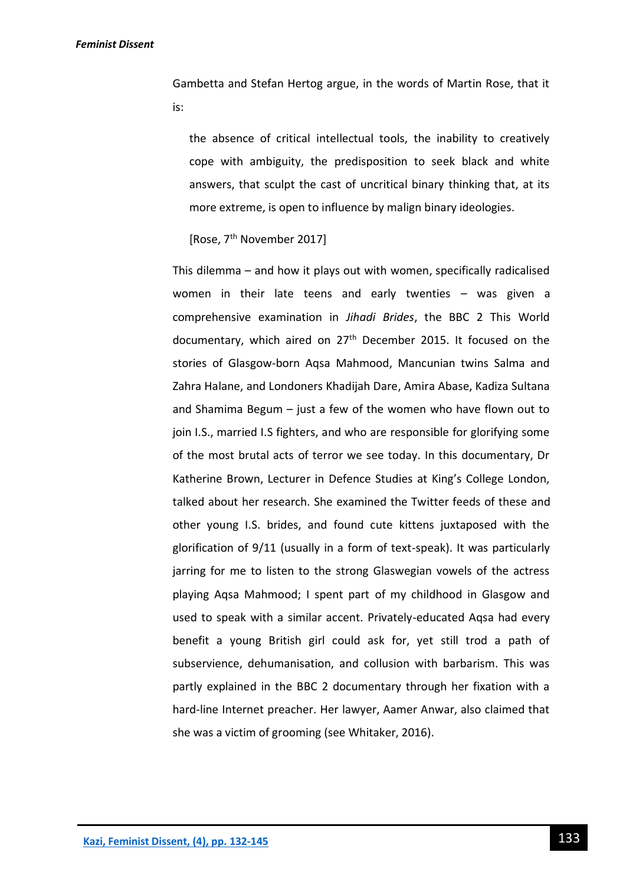Gambetta and Stefan Hertog argue, in the words of Martin Rose, that it is:

the absence of critical intellectual tools, the inability to creatively cope with ambiguity, the predisposition to seek black and white answers, that sculpt the cast of uncritical binary thinking that, at its more extreme, is open to influence by malign binary ideologies.

```
[Rose, 7<sup>th</sup> November 2017]
```
This dilemma – and how it plays out with women, specifically radicalised women in their late teens and early twenties – was given a comprehensive examination in *Jihadi Brides*, the BBC 2 This World documentary, which aired on  $27<sup>th</sup>$  December 2015. It focused on the stories of Glasgow-born Aqsa Mahmood, Mancunian twins Salma and Zahra Halane, and Londoners Khadijah Dare, Amira Abase, Kadiza Sultana and Shamima Begum – just a few of the women who have flown out to join I.S., married I.S fighters, and who are responsible for glorifying some of the most brutal acts of terror we see today. In this documentary, Dr Katherine Brown, Lecturer in Defence Studies at King's College London, talked about her research. She examined the Twitter feeds of these and other young I.S. brides, and found cute kittens juxtaposed with the glorification of 9/11 (usually in a form of text-speak). It was particularly jarring for me to listen to the strong Glaswegian vowels of the actress playing Aqsa Mahmood; I spent part of my childhood in Glasgow and used to speak with a similar accent. Privately-educated Aqsa had every benefit a young British girl could ask for, yet still trod a path of subservience, dehumanisation, and collusion with barbarism. This was partly explained in the BBC 2 documentary through her fixation with a hard-line Internet preacher. Her lawyer, Aamer Anwar, also claimed that she was a victim of grooming (see Whitaker, 2016).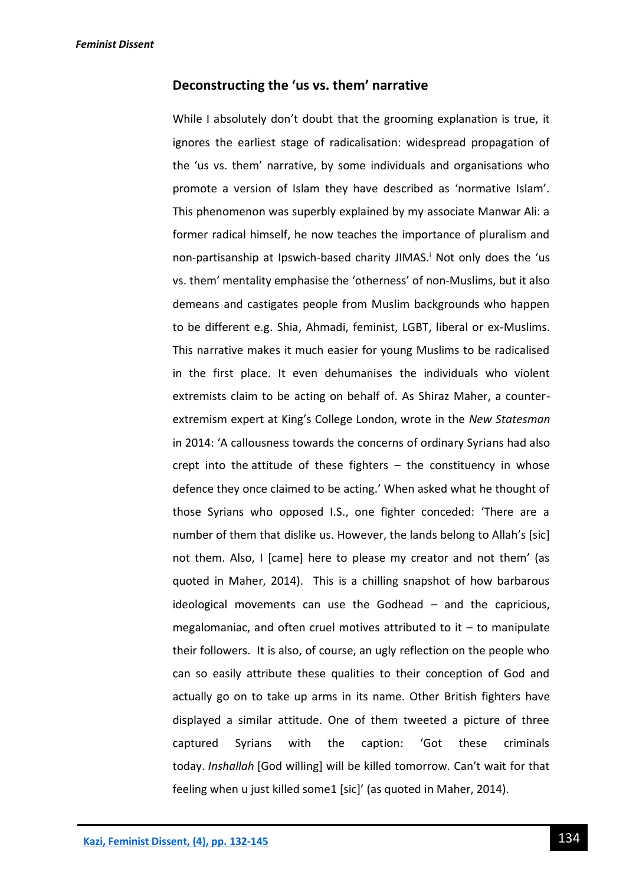## **Deconstructing the 'us vs. them' narrative**

While I absolutely don't doubt that the grooming explanation is true, it ignores the earliest stage of radicalisation: widespread propagation of the 'us vs. them' narrative, by some individuals and organisations who promote a version of Islam they have described as 'normative Islam'. This phenomenon was superbly explained by my associate Manwar Ali: a former radical himself, he now teaches the importance of pluralism and non-partisanship at Ipswich-based charity JIMAS.<sup>i</sup> Not only does the 'us vs. them' mentality emphasise the 'otherness' of non-Muslims, but it also demeans and castigates people from Muslim backgrounds who happen to be different e.g. Shia, Ahmadi, feminist, LGBT, liberal or ex-Muslims. This narrative makes it much easier for young Muslims to be radicalised in the first place. It even dehumanises the individuals who violent extremists claim to be acting on behalf of. As Shiraz Maher, a counterextremism expert at King's College London, wrote in the *New Statesman* in 2014: 'A callousness towards the concerns of ordinary Syrians had also crept into the attitude of these fighters – the constituency in whose defence they once claimed to be acting.' When asked what he thought of those Syrians who opposed I.S., one fighter conceded: 'There are a number of them that dislike us. However, the lands belong to Allah's [sic] not them. Also, I [came] here to please my creator and not them' (as quoted in Maher, 2014). This is a chilling snapshot of how barbarous ideological movements can use the Godhead – and the capricious, megalomaniac, and often cruel motives attributed to it  $-$  to manipulate their followers. It is also, of course, an ugly reflection on the people who can so easily attribute these qualities to their conception of God and actually go on to take up arms in its name. Other British fighters have displayed a similar attitude. One of them tweeted a picture of three captured Syrians with the caption: 'Got these criminals today. *Inshallah* [God willing] will be killed tomorrow. Can't wait for that feeling when u just killed some1 [sic]' (as quoted in Maher, 2014).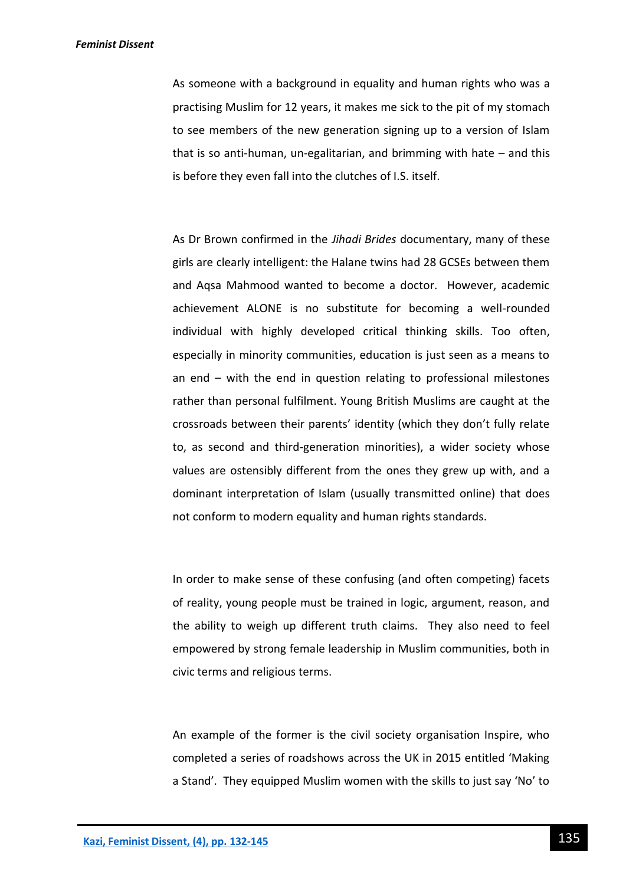As someone with a background in equality and human rights who was a practising Muslim for 12 years, it makes me sick to the pit of my stomach to see members of the new generation signing up to a version of Islam that is so anti-human, un-egalitarian, and brimming with hate – and this is before they even fall into the clutches of I.S. itself.

As Dr Brown confirmed in the *Jihadi Brides* documentary, many of these girls are clearly intelligent: the Halane twins had 28 GCSEs between them and Aqsa Mahmood wanted to become a doctor. However, academic achievement ALONE is no substitute for becoming a well-rounded individual with highly developed critical thinking skills. Too often, especially in minority communities, education is just seen as a means to an end – with the end in question relating to professional milestones rather than personal fulfilment. Young British Muslims are caught at the crossroads between their parents' identity (which they don't fully relate to, as second and third-generation minorities), a wider society whose values are ostensibly different from the ones they grew up with, and a dominant interpretation of Islam (usually transmitted online) that does not conform to modern equality and human rights standards.

In order to make sense of these confusing (and often competing) facets of reality, young people must be trained in logic, argument, reason, and the ability to weigh up different truth claims. They also need to feel empowered by strong female leadership in Muslim communities, both in civic terms and religious terms.

An example of the former is the civil society organisation Inspire, who completed a series of roadshows across the UK in 2015 entitled 'Making a Stand'. They equipped Muslim women with the skills to just say 'No' to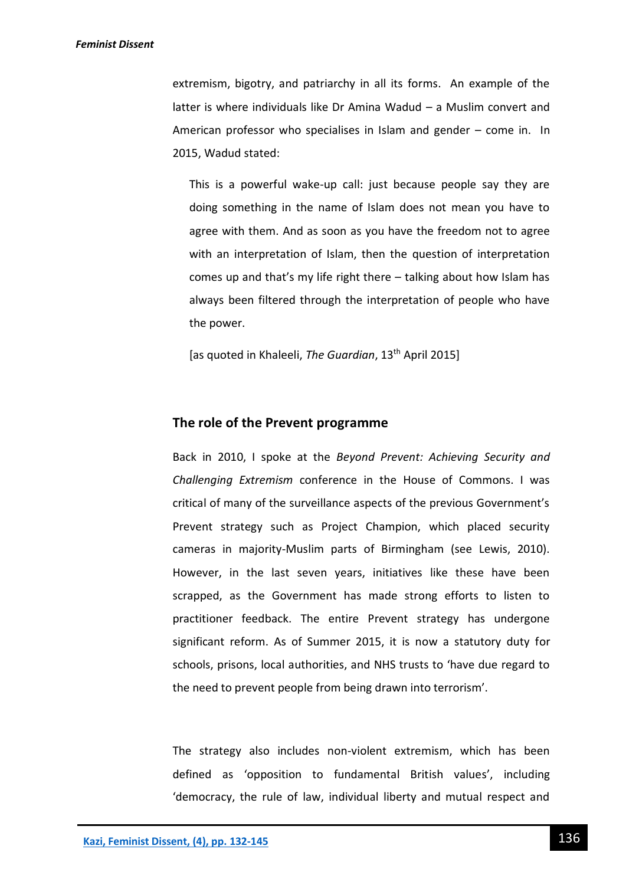extremism, bigotry, and patriarchy in all its forms. An example of the latter is where individuals like Dr Amina Wadud – a Muslim convert and American professor who specialises in Islam and gender – come in. In 2015, Wadud stated:

This is a powerful wake-up call: just because people say they are doing something in the name of Islam does not mean you have to agree with them. And as soon as you have the freedom not to agree with an interpretation of Islam, then the question of interpretation comes up and that's my life right there – talking about how Islam has always been filtered through the interpretation of people who have the power.

[as quoted in Khaleeli, *The Guardian*, 13th April 2015]

### **The role of the Prevent programme**

Back in 2010, I spoke at the *Beyond Prevent: Achieving Security and Challenging Extremism* conference in the House of Commons. I was critical of many of the surveillance aspects of the previous Government's Prevent strategy such as Project Champion, which placed security cameras in majority-Muslim parts of Birmingham (see Lewis, 2010). However, in the last seven years, initiatives like these have been scrapped, as the Government has made strong efforts to listen to practitioner feedback. The entire Prevent strategy has undergone significant reform. As of Summer 2015, it is now a statutory duty for schools, prisons, local authorities, and NHS trusts to 'have due regard to the need to prevent people from being drawn into terrorism'.

The strategy also includes non-violent extremism, which has been defined as 'opposition to fundamental British values', including 'democracy, the rule of law, individual liberty and mutual respect and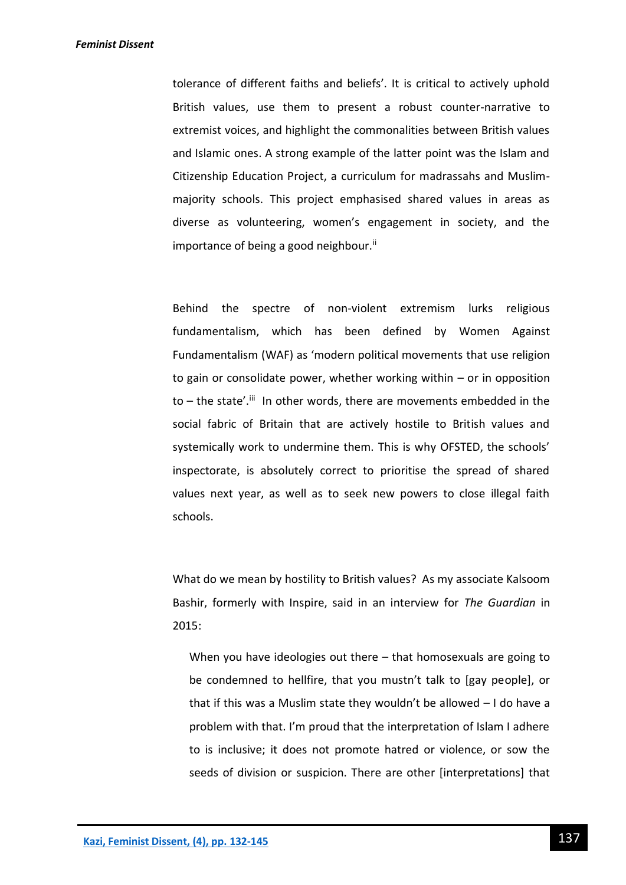tolerance of different faiths and beliefs'. It is critical to actively uphold British values, use them to present a robust counter-narrative to extremist voices, and highlight the commonalities between British values and Islamic ones. A strong example of the latter point was the Islam and Citizenship Education Project, a curriculum for madrassahs and Muslimmajority schools. This project emphasised shared values in areas as diverse as volunteering, women's engagement in society, and the importance of being a good neighbour.<sup>ii</sup>

Behind the spectre of non-violent extremism lurks religious fundamentalism, which has been defined by Women Against Fundamentalism (WAF) as 'modern political movements that use religion to gain or consolidate power, whether working within – or in opposition to – the state'.<sup>iii</sup> In other words, there are movements embedded in the social fabric of Britain that are actively hostile to British values and systemically work to undermine them. This is why OFSTED, the schools' inspectorate, is absolutely correct to prioritise the spread of shared values next year, as well as to seek new powers to close illegal faith schools.

What do we mean by hostility to British values? As my associate Kalsoom Bashir, formerly with Inspire, said in an interview for *The Guardian* in 2015:

When you have ideologies out there – that homosexuals are going to be condemned to hellfire, that you mustn't talk to [gay people], or that if this was a Muslim state they wouldn't be allowed – I do have a problem with that. I'm proud that the interpretation of Islam I adhere to is inclusive; it does not promote hatred or violence, or sow the seeds of division or suspicion. There are other [interpretations] that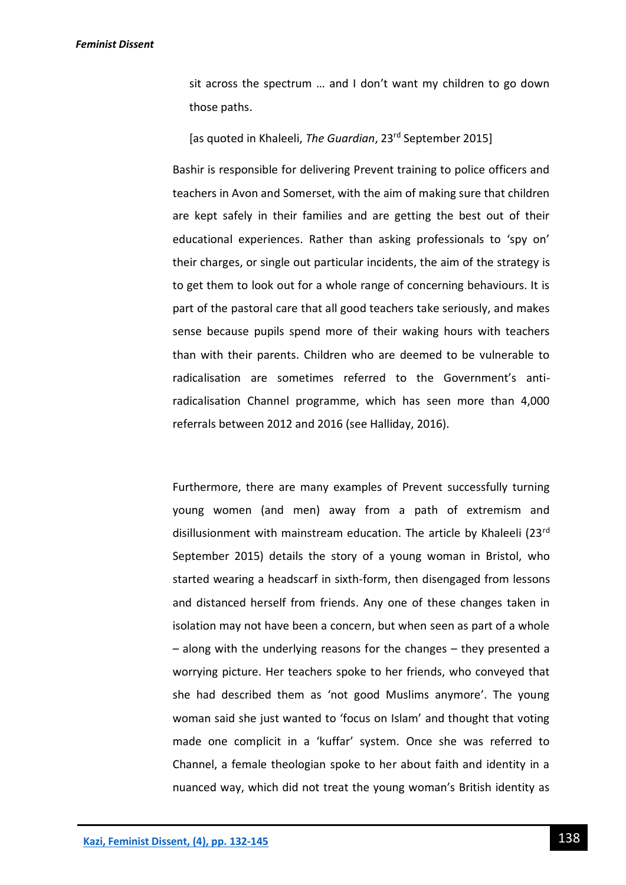sit across the spectrum … and I don't want my children to go down those paths.

[as quoted in Khaleeli, *The Guardian*, 23rd September 2015]

Bashir is responsible for delivering Prevent training to police officers and teachers in Avon and Somerset, with the aim of making sure that children are kept safely in their families and are getting the best out of their educational experiences. Rather than asking professionals to 'spy on' their charges, or single out particular incidents, the aim of the strategy is to get them to look out for a whole range of concerning behaviours. It is part of the pastoral care that all good teachers take seriously, and makes sense because pupils spend more of their waking hours with teachers than with their parents. Children who are deemed to be vulnerable to radicalisation are sometimes referred to the Government's antiradicalisation Channel programme, which has seen more than 4,000 referrals between 2012 and 2016 (see Halliday, 2016).

Furthermore, there are many examples of Prevent successfully turning young women (and men) away from a path of extremism and disillusionment with mainstream education. The article by Khaleeli (23rd September 2015) details the story of a young woman in Bristol, who started wearing a headscarf in sixth-form, then disengaged from lessons and distanced herself from friends. Any one of these changes taken in isolation may not have been a concern, but when seen as part of a whole – along with the underlying reasons for the changes – they presented a worrying picture. Her teachers spoke to her friends, who conveyed that she had described them as 'not good Muslims anymore'. The young woman said she just wanted to 'focus on Islam' and thought that voting made one complicit in a 'kuffar' system. Once she was referred to Channel, a female theologian spoke to her about faith and identity in a nuanced way, which did not treat the young woman's British identity as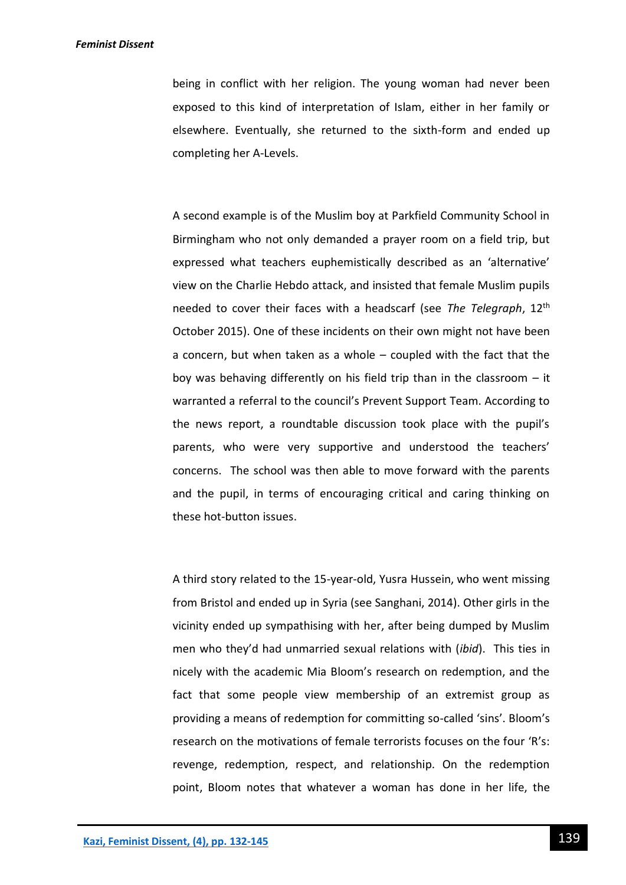being in conflict with her religion. The young woman had never been exposed to this kind of interpretation of Islam, either in her family or elsewhere. Eventually, she returned to the sixth-form and ended up completing her A-Levels.

A second example is of the Muslim boy at Parkfield Community School in Birmingham who not only demanded a prayer room on a field trip, but expressed what teachers euphemistically described as an 'alternative' view on the Charlie Hebdo attack, and insisted that female Muslim pupils needed to cover their faces with a headscarf (see *The Telegraph*, 12th October 2015). One of these incidents on their own might not have been a concern, but when taken as a whole – coupled with the fact that the boy was behaving differently on his field trip than in the classroom – it warranted a referral to the council's Prevent Support Team. According to the news report, a roundtable discussion took place with the pupil's parents, who were very supportive and understood the teachers' concerns. The school was then able to move forward with the parents and the pupil, in terms of encouraging critical and caring thinking on these hot-button issues.

A third story related to the 15-year-old, Yusra Hussein, who went missing from Bristol and ended up in Syria (see Sanghani, 2014). Other girls in the vicinity ended up sympathising with her, after being dumped by Muslim men who they'd had unmarried sexual relations with (*ibid*). This ties in nicely with the academic Mia Bloom's research on redemption, and the fact that some people view membership of an extremist group as providing a means of redemption for committing so-called 'sins'. Bloom's research on the motivations of female terrorists focuses on the four 'R's: revenge, redemption, respect, and relationship. On the redemption point, Bloom notes that whatever a woman has done in her life, the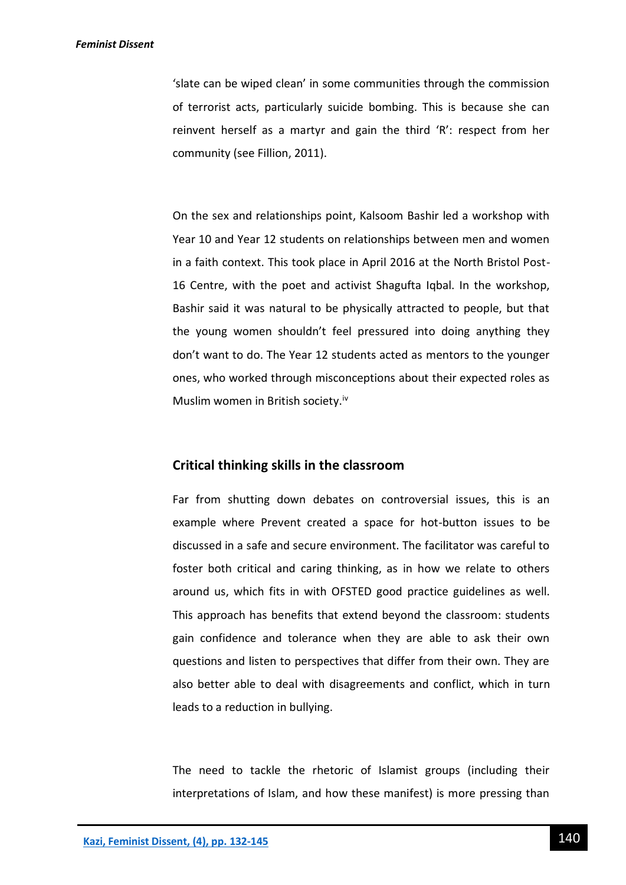'slate can be wiped clean' in some communities through the commission of terrorist acts, particularly suicide bombing. This is because she can reinvent herself as a martyr and gain the third 'R': respect from her community (see Fillion, 2011).

On the sex and relationships point, Kalsoom Bashir led a workshop with Year 10 and Year 12 students on relationships between men and women in a faith context. This took place in April 2016 at the North Bristol Post-16 Centre, with the poet and activist Shagufta Iqbal. In the workshop, Bashir said it was natural to be physically attracted to people, but that the young women shouldn't feel pressured into doing anything they don't want to do. The Year 12 students acted as mentors to the younger ones, who worked through misconceptions about their expected roles as Muslim women in British society.<sup>iv</sup>

## **Critical thinking skills in the classroom**

Far from shutting down debates on controversial issues, this is an example where Prevent created a space for hot-button issues to be discussed in a safe and secure environment. The facilitator was careful to foster both critical and caring thinking, as in how we relate to others around us, which fits in with OFSTED good practice guidelines as well. This approach has benefits that extend beyond the classroom: students gain confidence and tolerance when they are able to ask their own questions and listen to perspectives that differ from their own. They are also better able to deal with disagreements and conflict, which in turn leads to a reduction in bullying.

The need to tackle the rhetoric of Islamist groups (including their interpretations of Islam, and how these manifest) is more pressing than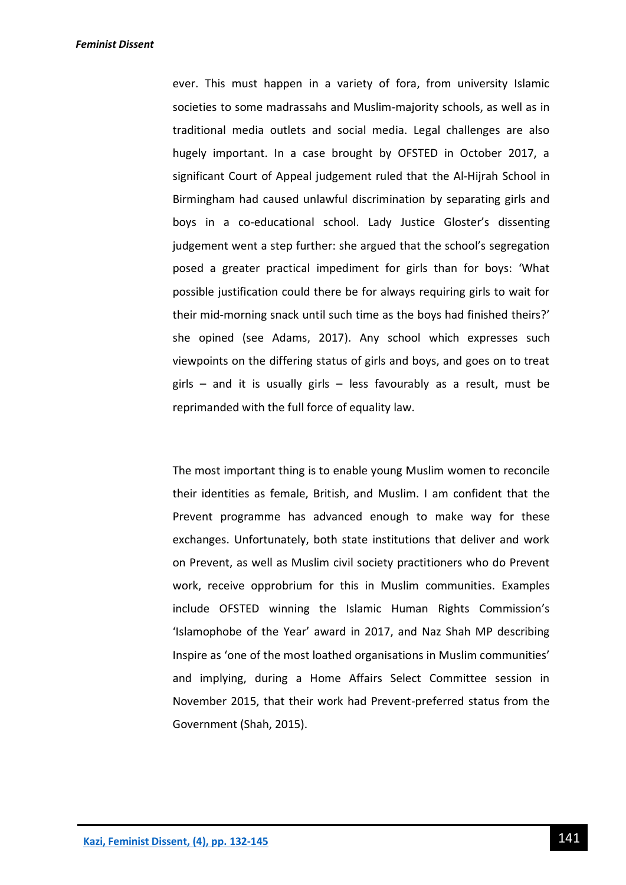ever. This must happen in a variety of fora, from university Islamic societies to some madrassahs and Muslim-majority schools, as well as in traditional media outlets and social media. Legal challenges are also hugely important. In a case brought by OFSTED in October 2017, a significant Court of Appeal judgement ruled that the Al-Hijrah School in Birmingham had caused unlawful discrimination by separating girls and boys in a co-educational school. Lady Justice Gloster's dissenting judgement went a step further: she argued that the school's segregation posed a greater practical impediment for girls than for boys: 'What possible justification could there be for always requiring girls to wait for their mid-morning snack until such time as the boys had finished theirs?' she opined (see Adams, 2017). Any school which expresses such viewpoints on the differing status of girls and boys, and goes on to treat girls – and it is usually girls – less favourably as a result, must be reprimanded with the full force of equality law.

The most important thing is to enable young Muslim women to reconcile their identities as female, British, and Muslim. I am confident that the Prevent programme has advanced enough to make way for these exchanges. Unfortunately, both state institutions that deliver and work on Prevent, as well as Muslim civil society practitioners who do Prevent work, receive opprobrium for this in Muslim communities. Examples include OFSTED winning the Islamic Human Rights Commission's 'Islamophobe of the Year' award in 2017, and Naz Shah MP describing Inspire as 'one of the most loathed organisations in Muslim communities' and implying, during a Home Affairs Select Committee session in November 2015, that their work had Prevent-preferred status from the Government (Shah, 2015).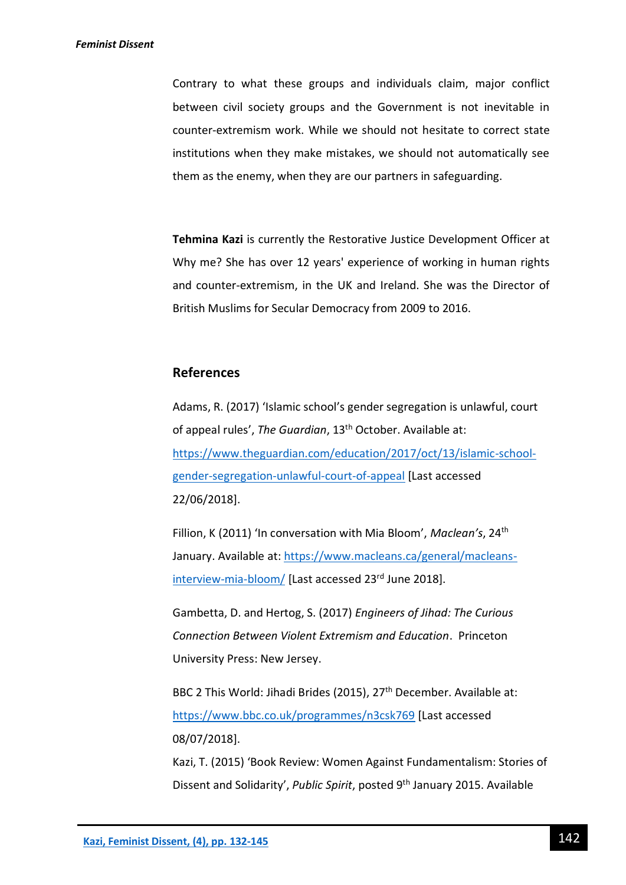Contrary to what these groups and individuals claim, major conflict between civil society groups and the Government is not inevitable in counter-extremism work. While we should not hesitate to correct state institutions when they make mistakes, we should not automatically see them as the enemy, when they are our partners in safeguarding.

**Tehmina Kazi** is currently the Restorative Justice Development Officer at Why me? She has over 12 years' experience of working in human rights and counter-extremism, in the UK and Ireland. She was the Director of British Muslims for Secular Democracy from 2009 to 2016.

## **References**

Adams, R. (2017) 'Islamic school's gender segregation is unlawful, court of appeal rules', *The Guardian*, 13th October. Available at: [https://www.theguardian.com/education/2017/oct/13/islamic-school](https://www.theguardian.com/education/2017/oct/13/islamic-school-gender-segregation-unlawful-court-of-appeal)[gender-segregation-unlawful-court-of-appeal](https://www.theguardian.com/education/2017/oct/13/islamic-school-gender-segregation-unlawful-court-of-appeal) [Last accessed 22/06/2018].

Fillion, K (2011) 'In conversation with Mia Bloom', *Maclean's*, 24th January. Available at: [https://www.macleans.ca/general/macleans](https://www.macleans.ca/general/macleans-interview-mia-bloom/)[interview-mia-bloom/](https://www.macleans.ca/general/macleans-interview-mia-bloom/) [Last accessed 23<sup>rd</sup> June 2018].

Gambetta, D. and Hertog, S. (2017) *Engineers of Jihad: The Curious Connection Between Violent Extremism and Education*. Princeton University Press: New Jersey.

BBC 2 This World: Jihadi Brides (2015), 27<sup>th</sup> December. Available at: <https://www.bbc.co.uk/programmes/n3csk769> [Last accessed 08/07/2018].

Kazi, T. (2015) 'Book Review: Women Against Fundamentalism: Stories of Dissent and Solidarity', *Public Spirit*, posted 9th January 2015. Available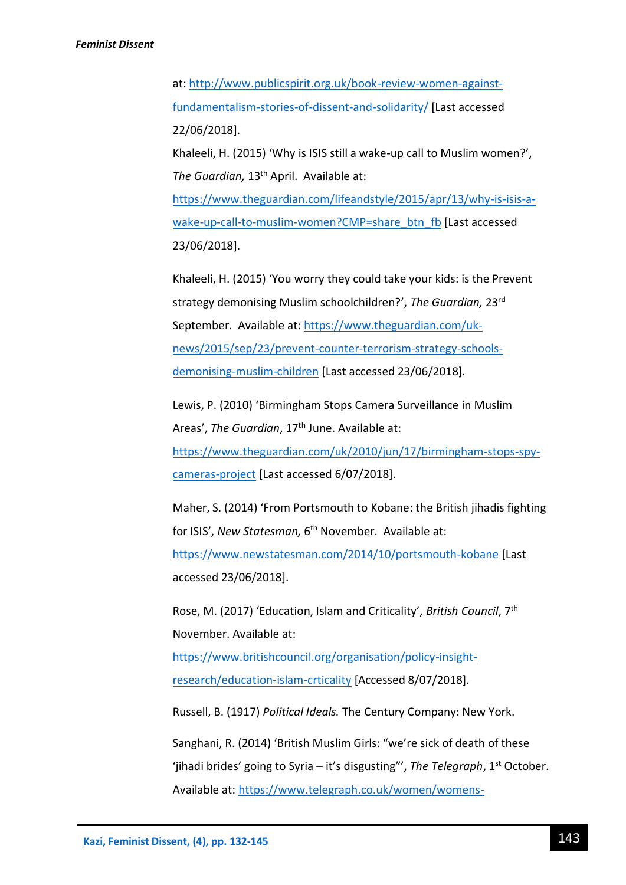at: [http://www.publicspirit.org.uk/book-review-women-against](http://www.publicspirit.org.uk/book-review-women-against-fundamentalism-stories-of-dissent-and-solidarity/)[fundamentalism-stories-of-dissent-and-solidarity/](http://www.publicspirit.org.uk/book-review-women-against-fundamentalism-stories-of-dissent-and-solidarity/) [Last accessed 22/06/2018].

Khaleeli, H. (2015) 'Why is ISIS still a wake-up call to Muslim women?', *The Guardian,* 13th April. Available at:

[https://www.theguardian.com/lifeandstyle/2015/apr/13/why-is-isis-a](https://www.theguardian.com/lifeandstyle/2015/apr/13/why-is-isis-a-wake-up-call-to-muslim-women?CMP=share_btn_fb)[wake-up-call-to-muslim-women?CMP=share\\_btn\\_fb](https://www.theguardian.com/lifeandstyle/2015/apr/13/why-is-isis-a-wake-up-call-to-muslim-women?CMP=share_btn_fb) [Last accessed 23/06/2018].

Khaleeli, H. (2015) 'You worry they could take your kids: is the Prevent strategy demonising Muslim schoolchildren?', *The Guardian,* 23rd September. Available at: [https://www.theguardian.com/uk](https://www.theguardian.com/uk-news/2015/sep/23/prevent-counter-terrorism-strategy-schools-demonising-muslim-children)[news/2015/sep/23/prevent-counter-terrorism-strategy-schools](https://www.theguardian.com/uk-news/2015/sep/23/prevent-counter-terrorism-strategy-schools-demonising-muslim-children)[demonising-muslim-children](https://www.theguardian.com/uk-news/2015/sep/23/prevent-counter-terrorism-strategy-schools-demonising-muslim-children) [Last accessed 23/06/2018].

Lewis, P. (2010) 'Birmingham Stops Camera Surveillance in Muslim Areas', The Guardian, 17<sup>th</sup> June. Available at: [https://www.theguardian.com/uk/2010/jun/17/birmingham-stops-spy](https://www.theguardian.com/uk/2010/jun/17/birmingham-stops-spy-cameras-project)[cameras-project](https://www.theguardian.com/uk/2010/jun/17/birmingham-stops-spy-cameras-project) [Last accessed 6/07/2018].

Maher, S. (2014) 'From Portsmouth to Kobane: the British jihadis fighting for ISIS', *New Statesman,* 6 th November. Available at: <https://www.newstatesman.com/2014/10/portsmouth-kobane> [Last

accessed 23/06/2018].

Rose, M. (2017) 'Education, Islam and Criticality', *British Council*, 7th November. Available at:

[https://www.britishcouncil.org/organisation/policy-insight](https://www.britishcouncil.org/organisation/policy-insight-research/education-islam-crticality)[research/education-islam-crticality](https://www.britishcouncil.org/organisation/policy-insight-research/education-islam-crticality) [Accessed 8/07/2018].

Russell, B. (1917) *Political Ideals.* The Century Company: New York.

Sanghani, R. (2014) 'British Muslim Girls: "we're sick of death of these 'jihadi brides' going to Syria - it's disgusting"', The Telegraph, 1<sup>st</sup> October. Available at: [https://www.telegraph.co.uk/women/womens-](https://www.telegraph.co.uk/women/womens-life/11133324/British-Muslim-girls-Were-sick-to-death-of-these-jihadi-brides-going-to-Syria-its-disgusting.html)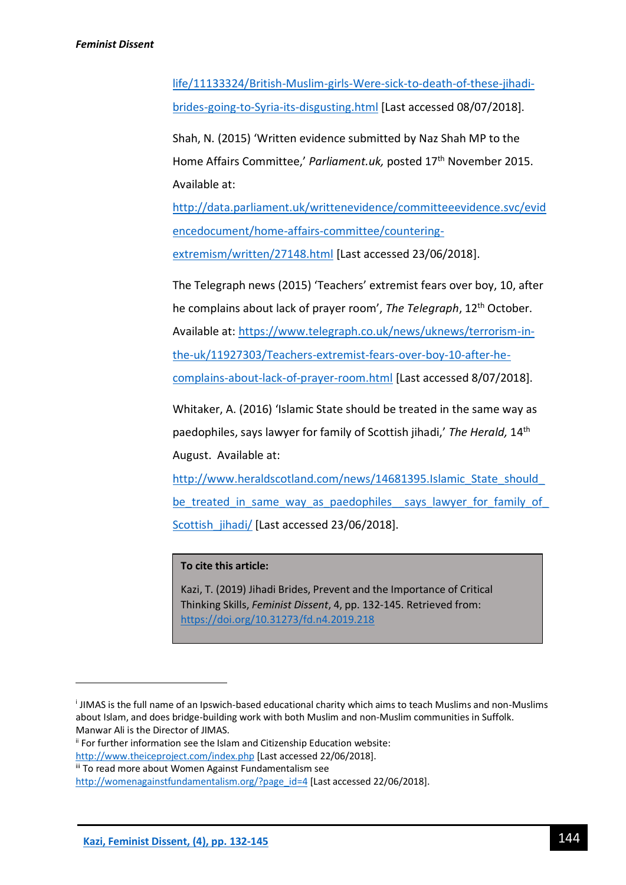[life/11133324/British-Muslim-girls-Were-sick-to-death-of-these-jihadi](https://www.telegraph.co.uk/women/womens-life/11133324/British-Muslim-girls-Were-sick-to-death-of-these-jihadi-brides-going-to-Syria-its-disgusting.html)[brides-going-to-Syria-its-disgusting.html](https://www.telegraph.co.uk/women/womens-life/11133324/British-Muslim-girls-Were-sick-to-death-of-these-jihadi-brides-going-to-Syria-its-disgusting.html) [Last accessed 08/07/2018].

Shah, N. (2015) 'Written evidence submitted by Naz Shah MP to the Home Affairs Committee,' *Parliament.uk*, posted 17<sup>th</sup> November 2015. Available at:

[http://data.parliament.uk/writtenevidence/committeeevidence.svc/evid](http://data.parliament.uk/writtenevidence/committeeevidence.svc/evidencedocument/home-affairs-committee/countering-extremism/written/27148.html) [encedocument/home-affairs-committee/countering](http://data.parliament.uk/writtenevidence/committeeevidence.svc/evidencedocument/home-affairs-committee/countering-extremism/written/27148.html)[extremism/written/27148.html](http://data.parliament.uk/writtenevidence/committeeevidence.svc/evidencedocument/home-affairs-committee/countering-extremism/written/27148.html) [Last accessed 23/06/2018].

The Telegraph news (2015) 'Teachers' extremist fears over boy, 10, after he complains about lack of prayer room', *The Telegraph*, 12th October. Available at: [https://www.telegraph.co.uk/news/uknews/terrorism-in](https://www.telegraph.co.uk/news/uknews/terrorism-in-the-uk/11927303/Teachers-extremist-fears-over-boy-10-after-he-complains-about-lack-of-prayer-room.html)[the-uk/11927303/Teachers-extremist-fears-over-boy-10-after-he](https://www.telegraph.co.uk/news/uknews/terrorism-in-the-uk/11927303/Teachers-extremist-fears-over-boy-10-after-he-complains-about-lack-of-prayer-room.html)[complains-about-lack-of-prayer-room.html](https://www.telegraph.co.uk/news/uknews/terrorism-in-the-uk/11927303/Teachers-extremist-fears-over-boy-10-after-he-complains-about-lack-of-prayer-room.html) [Last accessed 8/07/2018].

Whitaker, A. (2016) 'Islamic State should be treated in the same way as paedophiles, says lawyer for family of Scottish jihadi,' *The Herald,* 14th August. Available at:

[http://www.heraldscotland.com/news/14681395.Islamic\\_State\\_should\\_](http://www.heraldscotland.com/news/14681395.Islamic_State_should_be_treated_in_same_way_as_paedophiles__says_lawyer_for_family_of_Scottish_jihadi/) be treated in same way as paedophiles says lawyer for family of Scottish jihadi/ [Last accessed 23/06/2018].

## **To cite this article:**

Kazi, T. (2019) Jihadi Brides, Prevent and the Importance of Critical Thinking Skills, *Feminist Dissent*, 4, pp. 132-145. Retrieved from: <https://doi.org/10.31273/fd.n4.2019.218>

**.** 

i JIMAS is the full name of an Ipswich-based educational charity which aims to teach Muslims and non-Muslims about Islam, and does bridge-building work with both Muslim and non-Muslim communities in Suffolk. Manwar Ali is the Director of JIMAS.

ii For further information see the Islam and Citizenship Education website:

<http://www.theiceproject.com/index.php> [Last accessed 22/06/2018].

iii To read more about Women Against Fundamentalism see

[http://womenagainstfundamentalism.org/?page\\_id=4](http://womenagainstfundamentalism.org/?page_id=4) [Last accessed 22/06/2018].